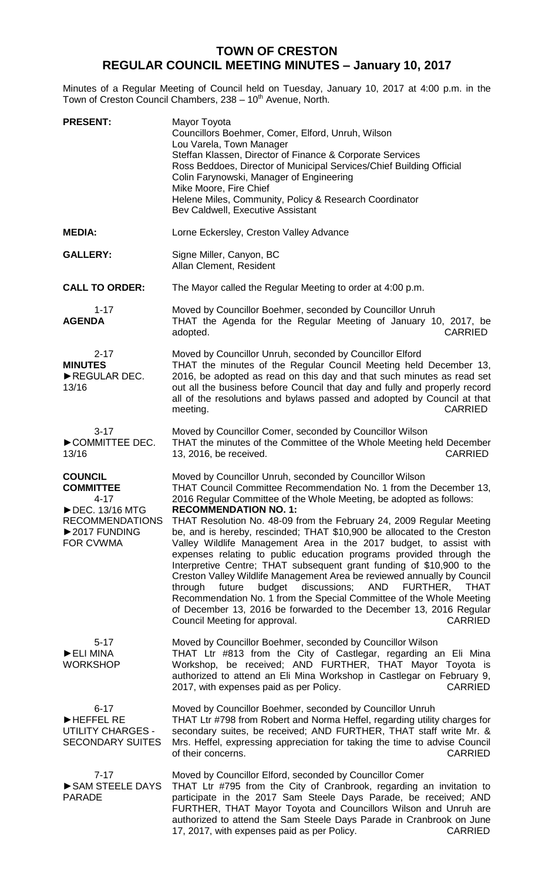## **TOWN OF CRESTON REGULAR COUNCIL MEETING MINUTES – January 10, 2017**

Minutes of a Regular Meeting of Council held on Tuesday, January 10, 2017 at 4:00 p.m. in the Town of Creston Council Chambers, 238 - 10<sup>th</sup> Avenue, North.

| <b>PRESENT:</b>                                                                                                            | Mayor Toyota<br>Councillors Boehmer, Comer, Elford, Unruh, Wilson<br>Lou Varela, Town Manager<br>Steffan Klassen, Director of Finance & Corporate Services<br>Ross Beddoes, Director of Municipal Services/Chief Building Official<br>Colin Farynowski, Manager of Engineering<br>Mike Moore, Fire Chief<br>Helene Miles, Community, Policy & Research Coordinator<br>Bev Caldwell, Executive Assistant                                                                                                                                                                                                                                                                                                                                                                                                                                                                                                                                                                    |
|----------------------------------------------------------------------------------------------------------------------------|----------------------------------------------------------------------------------------------------------------------------------------------------------------------------------------------------------------------------------------------------------------------------------------------------------------------------------------------------------------------------------------------------------------------------------------------------------------------------------------------------------------------------------------------------------------------------------------------------------------------------------------------------------------------------------------------------------------------------------------------------------------------------------------------------------------------------------------------------------------------------------------------------------------------------------------------------------------------------|
| <b>MEDIA:</b>                                                                                                              | Lorne Eckersley, Creston Valley Advance                                                                                                                                                                                                                                                                                                                                                                                                                                                                                                                                                                                                                                                                                                                                                                                                                                                                                                                                    |
| <b>GALLERY:</b>                                                                                                            | Signe Miller, Canyon, BC<br>Allan Clement, Resident                                                                                                                                                                                                                                                                                                                                                                                                                                                                                                                                                                                                                                                                                                                                                                                                                                                                                                                        |
| <b>CALL TO ORDER:</b>                                                                                                      | The Mayor called the Regular Meeting to order at 4:00 p.m.                                                                                                                                                                                                                                                                                                                                                                                                                                                                                                                                                                                                                                                                                                                                                                                                                                                                                                                 |
| $1 - 17$<br><b>AGENDA</b>                                                                                                  | Moved by Councillor Boehmer, seconded by Councillor Unruh<br>THAT the Agenda for the Regular Meeting of January 10, 2017, be<br><b>CARRIED</b><br>adopted.                                                                                                                                                                                                                                                                                                                                                                                                                                                                                                                                                                                                                                                                                                                                                                                                                 |
| $2 - 17$<br><b>MINUTES</b><br>REGULAR DEC.<br>13/16                                                                        | Moved by Councillor Unruh, seconded by Councillor Elford<br>THAT the minutes of the Regular Council Meeting held December 13,<br>2016, be adopted as read on this day and that such minutes as read set<br>out all the business before Council that day and fully and properly record<br>all of the resolutions and bylaws passed and adopted by Council at that<br><b>CARRIED</b><br>meeting.                                                                                                                                                                                                                                                                                                                                                                                                                                                                                                                                                                             |
| $3 - 17$<br>COMMITTEE DEC.<br>13/16                                                                                        | Moved by Councillor Comer, seconded by Councillor Wilson<br>THAT the minutes of the Committee of the Whole Meeting held December<br><b>CARRIED</b><br>13, 2016, be received.                                                                                                                                                                                                                                                                                                                                                                                                                                                                                                                                                                                                                                                                                                                                                                                               |
| <b>COUNCIL</b><br><b>COMMITTEE</b><br>$4 - 17$<br>▶ DEC. 13/16 MTG<br><b>RECOMMENDATIONS</b><br>▶2017 FUNDING<br>FOR CVWMA | Moved by Councillor Unruh, seconded by Councillor Wilson<br>THAT Council Committee Recommendation No. 1 from the December 13,<br>2016 Regular Committee of the Whole Meeting, be adopted as follows:<br><b>RECOMMENDATION NO. 1:</b><br>THAT Resolution No. 48-09 from the February 24, 2009 Regular Meeting<br>be, and is hereby, rescinded; THAT \$10,900 be allocated to the Creston<br>Valley Wildlife Management Area in the 2017 budget, to assist with<br>expenses relating to public education programs provided through the<br>Interpretive Centre; THAT subsequent grant funding of \$10,900 to the<br>Creston Valley Wildlife Management Area be reviewed annually by Council<br>budget<br>discussions;<br>AND<br>FURTHER,<br>through<br>future<br><b>THAT</b><br>Recommendation No. 1 from the Special Committee of the Whole Meeting<br>of December 13, 2016 be forwarded to the December 13, 2016 Regular<br>Council Meeting for approval.<br><b>CARRIED</b> |
| $5 - 17$<br>ELI MINA<br><b>WORKSHOP</b>                                                                                    | Moved by Councillor Boehmer, seconded by Councillor Wilson<br>THAT Ltr #813 from the City of Castlegar, regarding an Eli Mina<br>Workshop, be received; AND FURTHER, THAT Mayor Toyota is<br>authorized to attend an Eli Mina Workshop in Castlegar on February 9,<br>2017, with expenses paid as per Policy.<br><b>CARRIED</b>                                                                                                                                                                                                                                                                                                                                                                                                                                                                                                                                                                                                                                            |
| $6 - 17$<br>HEFFEL RE<br><b>UTILITY CHARGES -</b><br><b>SECONDARY SUITES</b>                                               | Moved by Councillor Boehmer, seconded by Councillor Unruh<br>THAT Ltr #798 from Robert and Norma Heffel, regarding utility charges for<br>secondary suites, be received; AND FURTHER, THAT staff write Mr. &<br>Mrs. Heffel, expressing appreciation for taking the time to advise Council<br><b>CARRIED</b><br>of their concerns.                                                                                                                                                                                                                                                                                                                                                                                                                                                                                                                                                                                                                                         |
| $7 - 17$<br>SAM STEELE DAYS<br><b>PARADE</b>                                                                               | Moved by Councillor Elford, seconded by Councillor Comer<br>THAT Ltr #795 from the City of Cranbrook, regarding an invitation to<br>participate in the 2017 Sam Steele Days Parade, be received; AND<br>FURTHER, THAT Mayor Toyota and Councillors Wilson and Unruh are<br>authorized to attend the Sam Steele Days Parade in Cranbrook on June<br>17, 2017, with expenses paid as per Policy.<br><b>CARRIED</b>                                                                                                                                                                                                                                                                                                                                                                                                                                                                                                                                                           |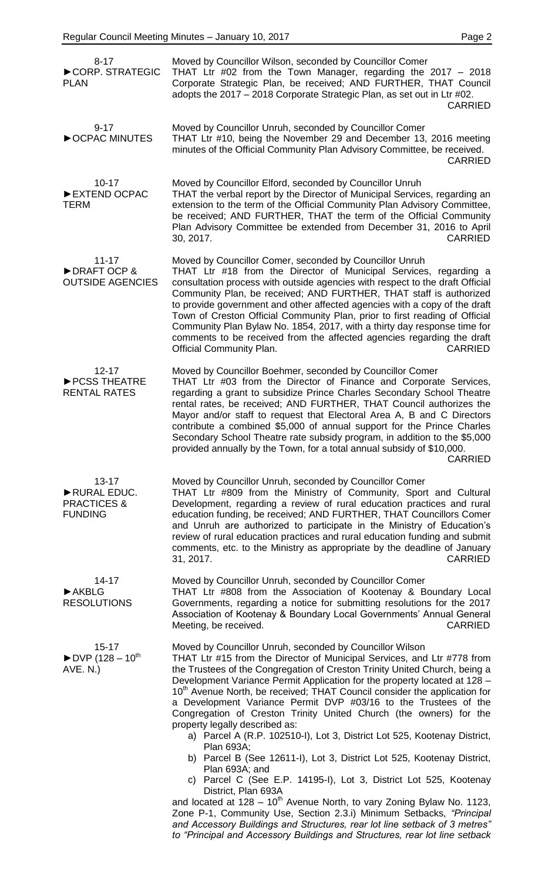| $8 - 17$<br>CORP. STRATEGIC<br><b>PLAN</b>                                 | Moved by Councillor Wilson, seconded by Councillor Comer<br>THAT Ltr $\#02$ from the Town Manager, regarding the 2017 - 2018<br>Corporate Strategic Plan, be received; AND FURTHER, THAT Council<br>adopts the 2017 - 2018 Corporate Strategic Plan, as set out in Ltr #02.<br><b>CARRIED</b>                                                                                                                                                                                                                                                                                                                                                                                                                                                                                                                                                                                                                                                                                                               |
|----------------------------------------------------------------------------|-------------------------------------------------------------------------------------------------------------------------------------------------------------------------------------------------------------------------------------------------------------------------------------------------------------------------------------------------------------------------------------------------------------------------------------------------------------------------------------------------------------------------------------------------------------------------------------------------------------------------------------------------------------------------------------------------------------------------------------------------------------------------------------------------------------------------------------------------------------------------------------------------------------------------------------------------------------------------------------------------------------|
| $9 - 17$<br>OCPAC MINUTES                                                  | Moved by Councillor Unruh, seconded by Councillor Comer<br>THAT Ltr #10, being the November 29 and December 13, 2016 meeting<br>minutes of the Official Community Plan Advisory Committee, be received.<br><b>CARRIED</b>                                                                                                                                                                                                                                                                                                                                                                                                                                                                                                                                                                                                                                                                                                                                                                                   |
| $10 - 17$<br>EXTEND OCPAC<br>TERM                                          | Moved by Councillor Elford, seconded by Councillor Unruh<br>THAT the verbal report by the Director of Municipal Services, regarding an<br>extension to the term of the Official Community Plan Advisory Committee,<br>be received; AND FURTHER, THAT the term of the Official Community<br>Plan Advisory Committee be extended from December 31, 2016 to April<br><b>CARRIED</b><br>30, 2017.                                                                                                                                                                                                                                                                                                                                                                                                                                                                                                                                                                                                               |
| $11 - 17$<br>DRAFT OCP &<br><b>OUTSIDE AGENCIES</b>                        | Moved by Councillor Comer, seconded by Councillor Unruh<br>THAT Ltr #18 from the Director of Municipal Services, regarding a<br>consultation process with outside agencies with respect to the draft Official<br>Community Plan, be received; AND FURTHER, THAT staff is authorized<br>to provide government and other affected agencies with a copy of the draft<br>Town of Creston Official Community Plan, prior to first reading of Official<br>Community Plan Bylaw No. 1854, 2017, with a thirty day response time for<br>comments to be received from the affected agencies regarding the draft<br><b>CARRIED</b><br><b>Official Community Plan.</b>                                                                                                                                                                                                                                                                                                                                                 |
| $12 - 17$<br>PCSS THEATRE<br><b>RENTAL RATES</b>                           | Moved by Councillor Boehmer, seconded by Councillor Comer<br>THAT Ltr #03 from the Director of Finance and Corporate Services,<br>regarding a grant to subsidize Prince Charles Secondary School Theatre<br>rental rates, be received; AND FURTHER, THAT Council authorizes the<br>Mayor and/or staff to request that Electoral Area A, B and C Directors<br>contribute a combined \$5,000 of annual support for the Prince Charles<br>Secondary School Theatre rate subsidy program, in addition to the \$5,000<br>provided annually by the Town, for a total annual subsidy of \$10,000.<br><b>CARRIED</b>                                                                                                                                                                                                                                                                                                                                                                                                |
| $13 - 17$<br>RURAL EDUC.<br><b>PRACTICES &amp;</b><br><b>FUNDING</b>       | Moved by Councillor Unruh, seconded by Councillor Comer<br>THAT Ltr #809 from the Ministry of Community, Sport and Cultural<br>Development, regarding a review of rural education practices and rural<br>education funding, be received; AND FURTHER, THAT Councillors Comer<br>and Unruh are authorized to participate in the Ministry of Education's<br>review of rural education practices and rural education funding and submit<br>comments, etc. to the Ministry as appropriate by the deadline of January<br><b>CARRIED</b><br>31, 2017.                                                                                                                                                                                                                                                                                                                                                                                                                                                             |
| $14 - 17$<br>$\blacktriangleright$ AKBLG<br><b>RESOLUTIONS</b>             | Moved by Councillor Unruh, seconded by Councillor Comer<br>THAT Ltr #808 from the Association of Kootenay & Boundary Local<br>Governments, regarding a notice for submitting resolutions for the 2017<br>Association of Kootenay & Boundary Local Governments' Annual General<br>Meeting, be received.<br><b>CARRIED</b>                                                                                                                                                                                                                                                                                                                                                                                                                                                                                                                                                                                                                                                                                    |
| $15 - 17$<br>$\blacktriangleright$ DVP (128 – 10 <sup>th</sup><br>AVE. N.) | Moved by Councillor Unruh, seconded by Councillor Wilson<br>THAT Ltr #15 from the Director of Municipal Services, and Ltr #778 from<br>the Trustees of the Congregation of Creston Trinity United Church, being a<br>Development Variance Permit Application for the property located at 128 -<br>10 <sup>th</sup> Avenue North, be received; THAT Council consider the application for<br>a Development Variance Permit DVP #03/16 to the Trustees of the<br>Congregation of Creston Trinity United Church (the owners) for the<br>property legally described as:<br>a) Parcel A (R.P. 102510-I), Lot 3, District Lot 525, Kootenay District,<br>Plan 693A;<br>b) Parcel B (See 12611-I), Lot 3, District Lot 525, Kootenay District,<br>Plan 693A; and<br>c) Parcel C (See E.P. 14195-I), Lot 3, District Lot 525, Kootenay<br>District, Plan 693A<br>and located at $128 - 10^{th}$ Avenue North, to vary Zoning Bylaw No. 1123,<br>Zone P-1, Community Use, Section 2.3.i) Minimum Setbacks, "Principal |
|                                                                            | and Accessory Buildings and Structures, rear lot line setback of 3 metres"<br>to "Principal and Accessory Buildings and Structures, rear lot line setback                                                                                                                                                                                                                                                                                                                                                                                                                                                                                                                                                                                                                                                                                                                                                                                                                                                   |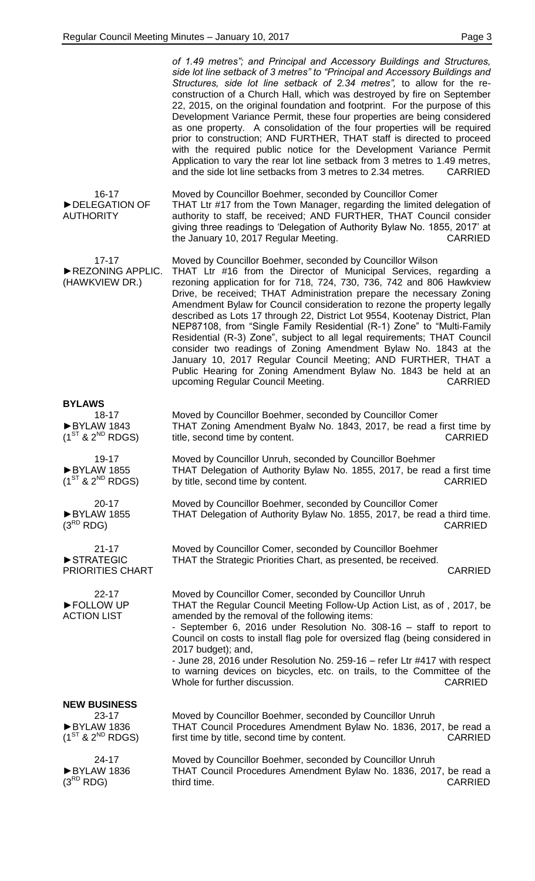|                                                                    | of 1.49 metres"; and Principal and Accessory Buildings and Structures,<br>side lot line setback of 3 metres" to "Principal and Accessory Buildings and<br>Structures, side lot line setback of 2.34 metres", to allow for the re-<br>construction of a Church Hall, which was destroyed by fire on September<br>22, 2015, on the original foundation and footprint. For the purpose of this<br>Development Variance Permit, these four properties are being considered<br>as one property. A consolidation of the four properties will be required<br>prior to construction; AND FURTHER, THAT staff is directed to proceed<br>with the required public notice for the Development Variance Permit<br>Application to vary the rear lot line setback from 3 metres to 1.49 metres,<br>and the side lot line setbacks from 3 metres to 2.34 metres.<br><b>CARRIED</b> |
|--------------------------------------------------------------------|---------------------------------------------------------------------------------------------------------------------------------------------------------------------------------------------------------------------------------------------------------------------------------------------------------------------------------------------------------------------------------------------------------------------------------------------------------------------------------------------------------------------------------------------------------------------------------------------------------------------------------------------------------------------------------------------------------------------------------------------------------------------------------------------------------------------------------------------------------------------|
| $16 - 17$<br>DELEGATION OF<br><b>AUTHORITY</b>                     | Moved by Councillor Boehmer, seconded by Councillor Comer<br>THAT Ltr #17 from the Town Manager, regarding the limited delegation of<br>authority to staff, be received; AND FURTHER, THAT Council consider<br>giving three readings to 'Delegation of Authority Bylaw No. 1855, 2017' at<br>the January 10, 2017 Regular Meeting.<br><b>CARRIED</b>                                                                                                                                                                                                                                                                                                                                                                                                                                                                                                                |
| $17 - 17$<br>REZONING APPLIC.<br>(HAWKVIEW DR.)                    | Moved by Councillor Boehmer, seconded by Councillor Wilson<br>THAT Ltr #16 from the Director of Municipal Services, regarding a<br>rezoning application for for 718, 724, 730, 736, 742 and 806 Hawkview<br>Drive, be received; THAT Administration prepare the necessary Zoning<br>Amendment Bylaw for Council consideration to rezone the property legally<br>described as Lots 17 through 22, District Lot 9554, Kootenay District, Plan<br>NEP87108, from "Single Family Residential (R-1) Zone" to "Multi-Family<br>Residential (R-3) Zone", subject to all legal requirements; THAT Council<br>consider two readings of Zoning Amendment Bylaw No. 1843 at the<br>January 10, 2017 Regular Council Meeting; AND FURTHER, THAT a<br>Public Hearing for Zoning Amendment Bylaw No. 1843 be held at an<br><b>CARRIED</b><br>upcoming Regular Council Meeting.    |
| <b>BYLAWS</b><br>18-17<br>BYLAW 1843<br>$(1^{ST}$ & $2^{ND}$ RDGS) | Moved by Councillor Boehmer, seconded by Councillor Comer<br>THAT Zoning Amendment Byalw No. 1843, 2017, be read a first time by<br>title, second time by content.<br><b>CARRIED</b>                                                                                                                                                                                                                                                                                                                                                                                                                                                                                                                                                                                                                                                                                |
| 19-17<br>BYLAW 1855<br>$(1^{ST}$ & $2^{ND}$ RDGS)                  | Moved by Councillor Unruh, seconded by Councillor Boehmer<br>THAT Delegation of Authority Bylaw No. 1855, 2017, be read a first time<br>by title, second time by content.<br><b>CARRIED</b>                                                                                                                                                                                                                                                                                                                                                                                                                                                                                                                                                                                                                                                                         |
| $20 - 17$<br>BYLAW 1855<br>$(3^{RD}$ RDG)                          | Moved by Councillor Boehmer, seconded by Councillor Comer<br>THAT Delegation of Authority Bylaw No. 1855, 2017, be read a third time.<br><b>CARRIED</b>                                                                                                                                                                                                                                                                                                                                                                                                                                                                                                                                                                                                                                                                                                             |
| $21 - 17$<br>STRATEGIC<br><b>PRIORITIES CHART</b>                  | Moved by Councillor Comer, seconded by Councillor Boehmer<br>THAT the Strategic Priorities Chart, as presented, be received.<br><b>CARRIED</b>                                                                                                                                                                                                                                                                                                                                                                                                                                                                                                                                                                                                                                                                                                                      |
| $22 - 17$<br>FOLLOW UP<br><b>ACTION LIST</b>                       | Moved by Councillor Comer, seconded by Councillor Unruh<br>THAT the Regular Council Meeting Follow-Up Action List, as of, 2017, be<br>amended by the removal of the following items:<br>- September 6, 2016 under Resolution No. 308-16 - staff to report to<br>Council on costs to install flag pole for oversized flag (being considered in<br>2017 budget); and,<br>- June 28, 2016 under Resolution No. 259-16 - refer Ltr #417 with respect<br>to warning devices on bicycles, etc. on trails, to the Committee of the<br>Whole for further discussion.<br><b>CARRIED</b>                                                                                                                                                                                                                                                                                      |
| <b>NEW BUSINESS</b>                                                |                                                                                                                                                                                                                                                                                                                                                                                                                                                                                                                                                                                                                                                                                                                                                                                                                                                                     |
| $23 - 17$<br>BYLAW 1836<br>$(1^{ST}$ & $2^{ND}$ RDGS)              | Moved by Councillor Boehmer, seconded by Councillor Unruh<br>THAT Council Procedures Amendment Bylaw No. 1836, 2017, be read a<br>first time by title, second time by content.<br><b>CARRIED</b>                                                                                                                                                                                                                                                                                                                                                                                                                                                                                                                                                                                                                                                                    |
| $24 - 17$<br>BYLAW 1836<br>$(3^{RD}$ RDG)                          | Moved by Councillor Boehmer, seconded by Councillor Unruh<br>THAT Council Procedures Amendment Bylaw No. 1836, 2017, be read a<br>third time.<br><b>CARRIED</b>                                                                                                                                                                                                                                                                                                                                                                                                                                                                                                                                                                                                                                                                                                     |